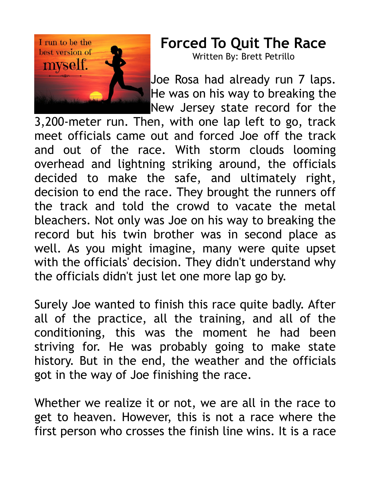

## **Forced To Quit The Race**

Written By: Brett Petrillo

Joe Rosa had already run 7 laps. He was on his way to breaking the New Jersey state record for the

3,200-meter run. Then, with one lap left to go, track meet officials came out and forced Joe off the track and out of the race. With storm clouds looming overhead and lightning striking around, the officials decided to make the safe, and ultimately right, decision to end the race. They brought the runners off the track and told the crowd to vacate the metal bleachers. Not only was Joe on his way to breaking the record but his twin brother was in second place as well. As you might imagine, many were quite upset with the officials' decision. They didn't understand why the officials didn't just let one more lap go by.

Surely Joe wanted to finish this race quite badly. After all of the practice, all the training, and all of the conditioning, this was the moment he had been striving for. He was probably going to make state history. But in the end, the weather and the officials got in the way of Joe finishing the race.

Whether we realize it or not, we are all in the race to get to heaven. However, this is not a race where the first person who crosses the finish line wins. It is a race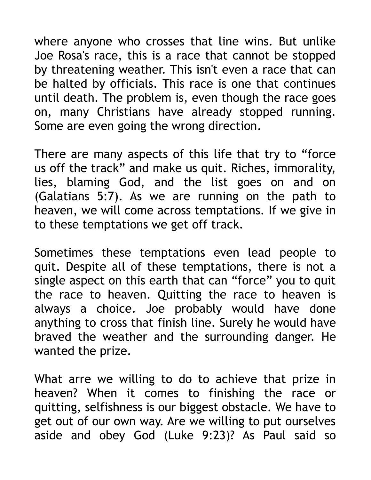where anyone who crosses that line wins. But unlike Joe Rosa's race, this is a race that cannot be stopped by threatening weather. This isn't even a race that can be halted by officials. This race is one that continues until death. The problem is, even though the race goes on, many Christians have already stopped running. Some are even going the wrong direction.

There are many aspects of this life that try to "force us off the track" and make us quit. Riches, immorality, lies, blaming God, and the list goes on and on (Galatians 5:7). As we are running on the path to heaven, we will come across temptations. If we give in to these temptations we get off track.

Sometimes these temptations even lead people to quit. Despite all of these temptations, there is not a single aspect on this earth that can "force" you to quit the race to heaven. Quitting the race to heaven is always a choice. Joe probably would have done anything to cross that finish line. Surely he would have braved the weather and the surrounding danger. He wanted the prize.

What arre we willing to do to achieve that prize in heaven? When it comes to finishing the race or quitting, selfishness is our biggest obstacle. We have to get out of our own way. Are we willing to put ourselves aside and obey God (Luke 9:23)? As Paul said so